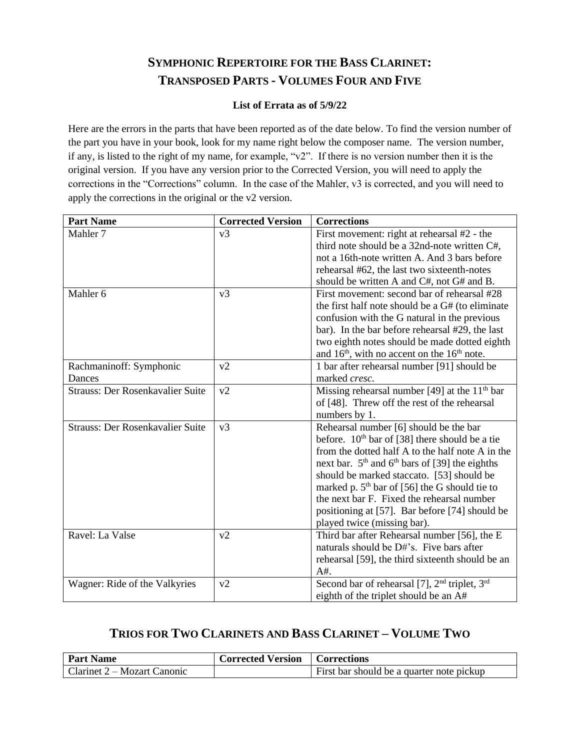## **SYMPHONIC REPERTOIRE FOR THE BASS CLARINET: TRANSPOSED PARTS - VOLUMES FOUR AND FIVE**

## **List of Errata as of 5/9/22**

Here are the errors in the parts that have been reported as of the date below. To find the version number of the part you have in your book, look for my name right below the composer name. The version number, if any, is listed to the right of my name, for example, "v2". If there is no version number then it is the original version. If you have any version prior to the Corrected Version, you will need to apply the corrections in the "Corrections" column. In the case of the Mahler, v3 is corrected, and you will need to apply the corrections in the original or the v2 version.

| <b>Part Name</b>                        | <b>Corrected Version</b> | <b>Corrections</b>                                                    |
|-----------------------------------------|--------------------------|-----------------------------------------------------------------------|
| Mahler <sub>7</sub>                     | v3                       | First movement: right at rehearsal #2 - the                           |
|                                         |                          | third note should be a 32nd-note written C#,                          |
|                                         |                          | not a 16th-note written A. And 3 bars before                          |
|                                         |                          | rehearsal #62, the last two sixteenth-notes                           |
|                                         |                          | should be written A and C#, not G# and B.                             |
| Mahler 6                                | v <sub>3</sub>           | First movement: second bar of rehearsal #28                           |
|                                         |                          | the first half note should be a G# (to eliminate                      |
|                                         |                          | confusion with the G natural in the previous                          |
|                                         |                          | bar). In the bar before rehearsal #29, the last                       |
|                                         |                          | two eighth notes should be made dotted eighth                         |
|                                         |                          | and $16th$ , with no accent on the $16th$ note.                       |
| Rachmaninoff: Symphonic                 | v2                       | 1 bar after rehearsal number [91] should be                           |
| Dances                                  |                          | marked cresc.                                                         |
| <b>Strauss: Der Rosenkavalier Suite</b> | v2                       | Missing rehearsal number [49] at the $11th$ bar                       |
|                                         |                          | of [48]. Threw off the rest of the rehearsal                          |
|                                         |                          | numbers by 1.                                                         |
| <b>Strauss: Der Rosenkavalier Suite</b> | v <sub>3</sub>           | Rehearsal number [6] should be the bar                                |
|                                         |                          | before. $10th$ bar of [38] there should be a tie                      |
|                                         |                          | from the dotted half A to the half note A in the                      |
|                                         |                          | next bar. $5th$ and $6th$ bars of [39] the eighths                    |
|                                         |                          | should be marked staccato. [53] should be                             |
|                                         |                          | marked p. $5th$ bar of [56] the G should tie to                       |
|                                         |                          | the next bar F. Fixed the rehearsal number                            |
|                                         |                          | positioning at [57]. Bar before [74] should be                        |
|                                         |                          | played twice (missing bar).                                           |
| Ravel: La Valse                         | v2                       | Third bar after Rehearsal number [56], the E                          |
|                                         |                          | naturals should be D#'s. Five bars after                              |
|                                         |                          | rehearsal [59], the third sixteenth should be an                      |
|                                         |                          | $A#$ .                                                                |
| Wagner: Ride of the Valkyries           | v2                       | Second bar of rehearsal [7], 2 <sup>nd</sup> triplet, 3 <sup>rd</sup> |
|                                         |                          | eighth of the triplet should be an A#                                 |

## **TRIOS FOR TWO CLARINETS AND BASS CLARINET – VOLUME TWO**

| <b>Part Name</b>                   | <b>Corrected Version</b>   Corrections |                                           |
|------------------------------------|----------------------------------------|-------------------------------------------|
| $\mid$ Clarinet 2 – Mozart Canonic |                                        | First bar should be a quarter note pickup |